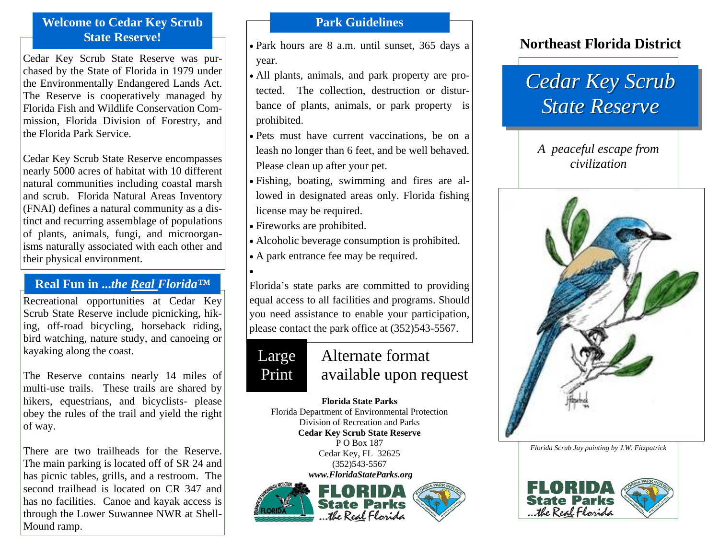## **Welcome to Cedar Key Scrub State Reserve!**

Cedar Key Scrub State Reserve was purchased by the State of Florida in 1979 under the Environmentally Endangered Lands Act. The Reserve is cooperatively managed by Florida Fish and Wildlife Conservation Commission, Florida Division of Forestry, and the Florida Park Service.

Cedar Key Scrub State Reserve encompasses nearly 5000 acres of habitat with 10 different natural communities including coastal marsh and scrub. Florida Natural Areas Inventory (FNAI) defines a natural community as a distinct and recurring assemblage of populations of plants, animals, fungi, and microorganisms naturally associated with each other and their physical environment.

### **Real Fun in ...***the Real Florida™*

Recreational opportunities at Cedar Key Scrub State Reserve include picnicking, hiking, off-road bicycling, horseback riding, bird watching, nature study, and canoeing or kayaking along the coast.

The Reserve contains nearly 14 miles of multi-use trails. These trails are shared by hikers, equestrians, and bicyclists- please obey the rules of the trail and yield the right of way.

There are two trailheads for the Reserve. The main parking is located off of SR 24 and has picnic tables, grills, and a restroom. The second trailhead is located on CR 347 and has no facilities. Canoe and kayak access is through the Lower Suwannee NWR at Shell-Mound ramp.

## **Park Guidelines**

- Park hours are 8 a.m. until sunset, 365 days a year.
- All plants, animals, and park property are protected. The collection, destruction or disturbance of plants, animals, or park property is prohibited.
- Pets must have current vaccinations, be on a leash no longer than 6 feet, and be well behaved. Please clean up after your pet.
- Fishing, boating, swimming and fires are allowed in designated areas only. Florida fishing license may be required.
- Fireworks are prohibited.
- Alcoholic beverage consumption is prohibited.
- A park entrance fee may be required.

•

Florida's state parks are committed to providing equal access to all facilities and programs. Should you need assistance to enable your participation, please contact the park office at (352)543-5567.

# Large Print

# Alternate format available upon request

#### **Florida State Parks**

Florida Department of Environmental Protection Division of Recreation and Parks **Cedar Key Scrub State Reserve**  P O Box 187 Cedar Key, FL 32625 (352)543-5567

 *www.FloridaStateParks.org* 



## **Northeast Florida District**

# *Cedar Key Scrub Cedar Key Scrub State Reserve State Reserve*

## *A peaceful escape from civilization*